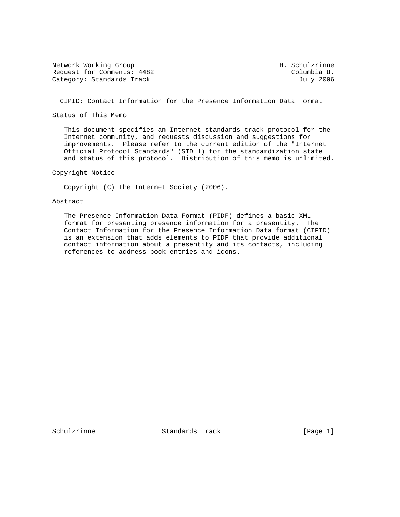Network Working Group Network H. Schulzrinne Request for Comments: 4482 Columbia U.<br>Category: Standards Track Category: Standards Track Category: Standards Track

CIPID: Contact Information for the Presence Information Data Format

Status of This Memo

 This document specifies an Internet standards track protocol for the Internet community, and requests discussion and suggestions for improvements. Please refer to the current edition of the "Internet Official Protocol Standards" (STD 1) for the standardization state and status of this protocol. Distribution of this memo is unlimited.

Copyright Notice

Copyright (C) The Internet Society (2006).

### Abstract

 The Presence Information Data Format (PIDF) defines a basic XML format for presenting presence information for a presentity. The Contact Information for the Presence Information Data format (CIPID) is an extension that adds elements to PIDF that provide additional contact information about a presentity and its contacts, including references to address book entries and icons.

Schulzrinne Standards Track [Page 1]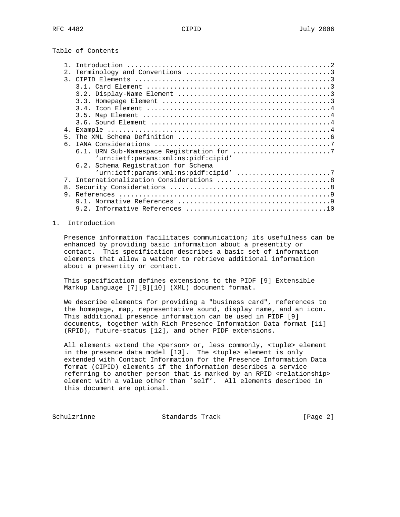Table of Contents

|                | Introduction                        |
|----------------|-------------------------------------|
| $2$ .          |                                     |
| $\mathcal{L}$  |                                     |
|                |                                     |
|                |                                     |
|                |                                     |
|                |                                     |
|                |                                     |
|                |                                     |
| 4.             |                                     |
| 5 <sub>1</sub> |                                     |
| б.             |                                     |
|                |                                     |
|                | 'urn:ietf:params:xml:ns:pidf:cipid' |
|                | 6.2. Schema Registration for Schema |
|                |                                     |
| 7 <sub>1</sub> |                                     |
|                |                                     |
| 8.             |                                     |
| 9.             |                                     |
|                |                                     |
|                | 9.2.                                |
|                |                                     |

## 1. Introduction

 Presence information facilitates communication; its usefulness can be enhanced by providing basic information about a presentity or contact. This specification describes a basic set of information elements that allow a watcher to retrieve additional information about a presentity or contact.

 This specification defines extensions to the PIDF [9] Extensible Markup Language [7][8][10] (XML) document format.

 We describe elements for providing a "business card", references to the homepage, map, representative sound, display name, and an icon. This additional presence information can be used in PIDF [9] documents, together with Rich Presence Information Data format [11] (RPID), future-status [12], and other PIDF extensions.

All elements extend the <person> or, less commonly, <tuple> element in the presence data model [13]. The <tuple> element is only extended with Contact Information for the Presence Information Data format (CIPID) elements if the information describes a service referring to another person that is marked by an RPID <relationship> element with a value other than 'self'. All elements described in this document are optional.

Schulzrinne Standards Track [Page 2]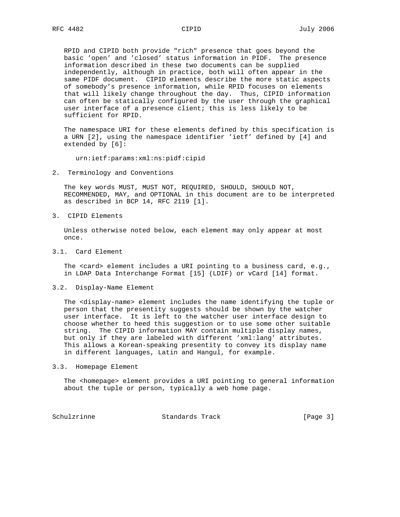RPID and CIPID both provide "rich" presence that goes beyond the basic 'open' and 'closed' status information in PIDF. The presence information described in these two documents can be supplied independently, although in practice, both will often appear in the same PIDF document. CIPID elements describe the more static aspects of somebody's presence information, while RPID focuses on elements that will likely change throughout the day. Thus, CIPID information can often be statically configured by the user through the graphical user interface of a presence client; this is less likely to be sufficient for RPID.

 The namespace URI for these elements defined by this specification is a URN [2], using the namespace identifier 'ietf' defined by [4] and extended by [6]:

urn:ietf:params:xml:ns:pidf:cipid

2. Terminology and Conventions

 The key words MUST, MUST NOT, REQUIRED, SHOULD, SHOULD NOT, RECOMMENDED, MAY, and OPTIONAL in this document are to be interpreted as described in BCP 14, RFC 2119 [1].

3. CIPID Elements

 Unless otherwise noted below, each element may only appear at most once.

3.1. Card Element

 The <card> element includes a URI pointing to a business card, e.g., in LDAP Data Interchange Format [15] (LDIF) or vCard [14] format.

3.2. Display-Name Element

 The <display-name> element includes the name identifying the tuple or person that the presentity suggests should be shown by the watcher user interface. It is left to the watcher user interface design to choose whether to heed this suggestion or to use some other suitable string. The CIPID information MAY contain multiple display names, but only if they are labeled with different 'xml:lang' attributes. This allows a Korean-speaking presentity to convey its display name in different languages, Latin and Hangul, for example.

3.3. Homepage Element

The <homepage> element provides a URI pointing to general information about the tuple or person, typically a web home page.

Schulzrinne Standards Track [Page 3]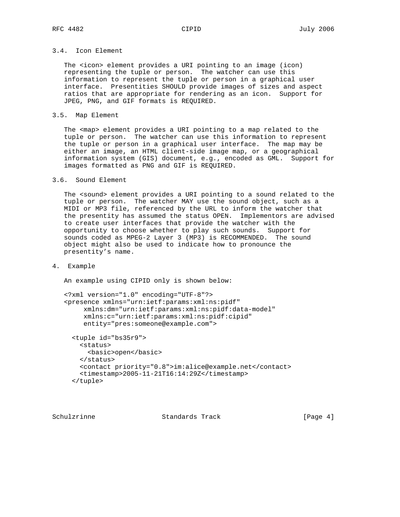# 3.4. Icon Element

 The <icon> element provides a URI pointing to an image (icon) representing the tuple or person. The watcher can use this information to represent the tuple or person in a graphical user interface. Presentities SHOULD provide images of sizes and aspect ratios that are appropriate for rendering as an icon. Support for JPEG, PNG, and GIF formats is REQUIRED.

### 3.5. Map Element

The <map> element provides a URI pointing to a map related to the tuple or person. The watcher can use this information to represent the tuple or person in a graphical user interface. The map may be either an image, an HTML client-side image map, or a geographical information system (GIS) document, e.g., encoded as GML. Support for images formatted as PNG and GIF is REQUIRED.

#### 3.6. Sound Element

 The <sound> element provides a URI pointing to a sound related to the tuple or person. The watcher MAY use the sound object, such as a MIDI or MP3 file, referenced by the URL to inform the watcher that the presentity has assumed the status OPEN. Implementors are advised to create user interfaces that provide the watcher with the opportunity to choose whether to play such sounds. Support for sounds coded as MPEG-2 Layer 3 (MP3) is RECOMMENDED. The sound object might also be used to indicate how to pronounce the presentity's name.

4. Example

An example using CIPID only is shown below:

```
 <?xml version="1.0" encoding="UTF-8"?>
 <presence xmlns="urn:ietf:params:xml:ns:pidf"
     xmlns:dm="urn:ietf:params:xml:ns:pidf:data-model"
      xmlns:c="urn:ietf:params:xml:ns:pidf:cipid"
      entity="pres:someone@example.com">
   <tuple id="bs35r9">
     <status>
       <basic>open</basic>
     </status>
     <contact priority="0.8">im:alice@example.net</contact>
     <timestamp>2005-11-21T16:14:29Z</timestamp>
```

```
 </tuple>
```
Schulzrinne Standards Track [Page 4]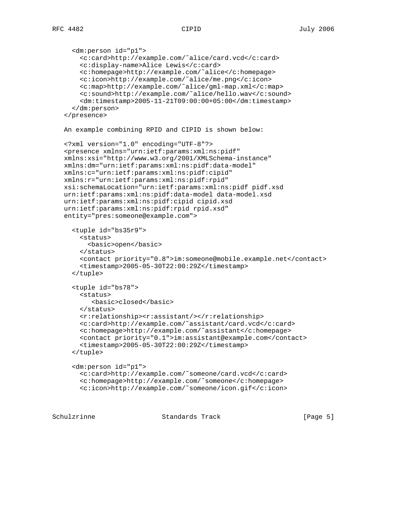```
 <dm:person id="p1">
     <c:card>http://example.com/˜alice/card.vcd</c:card>
     <c:display-name>Alice Lewis</c:card>
     <c:homepage>http://example.com/˜alice</c:homepage>
     <c:icon>http://example.com/˜alice/me.png</c:icon>
     <c:map>http://example.com/˜alice/gml-map.xml</c:map>
     <c:sound>http://example.com/˜alice/hello.wav</c:sound>
     <dm:timestamp>2005-11-21T09:00:00+05:00</dm:timestamp>
   </dm:person>
 </presence>
 An example combining RPID and CIPID is shown below:
 <?xml version="1.0" encoding="UTF-8"?>
 <presence xmlns="urn:ietf:params:xml:ns:pidf"
 xmlns:xsi="http://www.w3.org/2001/XMLSchema-instance"
 xmlns:dm="urn:ietf:params:xml:ns:pidf:data-model"
 xmlns:c="urn:ietf:params:xml:ns:pidf:cipid"
 xmlns:r="urn:ietf:params:xml:ns:pidf:rpid"
 xsi:schemaLocation="urn:ietf:params:xml:ns:pidf pidf.xsd
 urn:ietf:params:xml:ns:pidf:data-model data-model.xsd
 urn:ietf:params:xml:ns:pidf:cipid cipid.xsd
 urn:ietf:params:xml:ns:pidf:rpid rpid.xsd"
 entity="pres:someone@example.com">
   <tuple id="bs35r9">
     <status>
       <basic>open</basic>
     </status>
     <contact priority="0.8">im:someone@mobile.example.net</contact>
     <timestamp>2005-05-30T22:00:29Z</timestamp>
   </tuple>
   <tuple id="bs78">
     <status>
        <basic>closed</basic>
     </status>
     <r:relationship><r:assistant/></r:relationship>
     <c:card>http://example.com/˜assistant/card.vcd</c:card>
     <c:homepage>http://example.com/˜assistant</c:homepage>
     <contact priority="0.1">im:assistant@example.com</contact>
     <timestamp>2005-05-30T22:00:29Z</timestamp>
   </tuple>
   <dm:person id="p1">
     <c:card>http://example.com/˜someone/card.vcd</c:card>
     <c:homepage>http://example.com/˜someone</c:homepage>
     <c:icon>http://example.com/˜someone/icon.gif</c:icon>
```
Schulzrinne Standards Track [Page 5]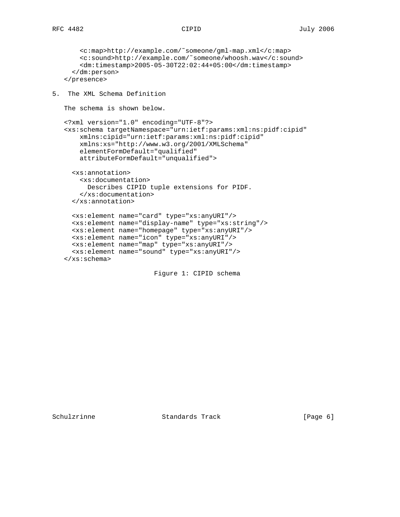```
 <c:map>http://example.com/˜someone/gml-map.xml</c:map>
        <c:sound>http://example.com/˜someone/whoosh.wav</c:sound>
        <dm:timestamp>2005-05-30T22:02:44+05:00</dm:timestamp>
      </dm:person>
    </presence>
5. The XML Schema Definition
   The schema is shown below.
    <?xml version="1.0" encoding="UTF-8"?>
    <xs:schema targetNamespace="urn:ietf:params:xml:ns:pidf:cipid"
        xmlns:cipid="urn:ietf:params:xml:ns:pidf:cipid"
        xmlns:xs="http://www.w3.org/2001/XMLSchema"
        elementFormDefault="qualified"
        attributeFormDefault="unqualified">
      <xs:annotation>
        <xs:documentation>
         Describes CIPID tuple extensions for PIDF.
        </xs:documentation>
      </xs:annotation>
      <xs:element name="card" type="xs:anyURI"/>
      <xs:element name="display-name" type="xs:string"/>
      <xs:element name="homepage" type="xs:anyURI"/>
      <xs:element name="icon" type="xs:anyURI"/>
      <xs:element name="map" type="xs:anyURI"/>
      <xs:element name="sound" type="xs:anyURI"/>
    </xs:schema>
                           Figure 1: CIPID schema
```
Schulzrinne **Standards Track** [Page 6]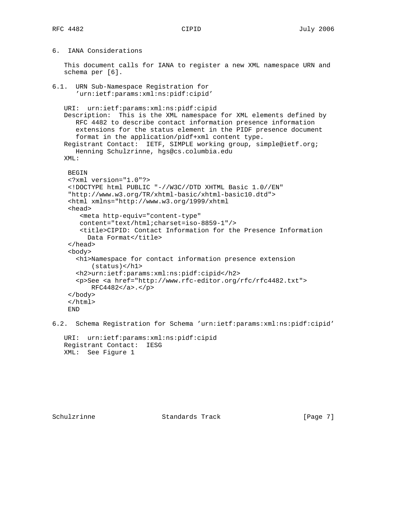# 6. IANA Considerations

 This document calls for IANA to register a new XML namespace URN and schema per [6].

```
6.1. URN Sub-Namespace Registration for
       'urn:ietf:params:xml:ns:pidf:cipid'
    URI: urn:ietf:params:xml:ns:pidf:cipid
   Description: This is the XML namespace for XML elements defined by
      RFC 4482 to describe contact information presence information
       extensions for the status element in the PIDF presence document
      format in the application/pidf+xml content type.
    Registrant Contact: IETF, SIMPLE working group, simple@ietf.org;
      Henning Schulzrinne, hgs@cs.columbia.edu
   XML:
     BEGIN
     <?xml version="1.0"?>
     <!DOCTYPE html PUBLIC "-//W3C//DTD XHTML Basic 1.0//EN"
     "http://www.w3.org/TR/xhtml-basic/xhtml-basic10.dtd">
     <html xmlns="http://www.w3.org/1999/xhtml
     <head>
        <meta http-equiv="content-type"
        content="text/html;charset=iso-8859-1"/>
        <title>CIPID: Contact Information for the Presence Information
        Data Format</title>
     </head>
     <body>
       <h1>Namespace for contact information presence extension
          (status)<h1>
       <h2>urn:ietf:params:xml:ns:pidf:cipid</h2>
       <p>See <a href="http://www.rfc-editor.org/rfc/rfc4482.txt">
          RFC4482</a>.</p>
     </body>
     </html>
     END
```
6.2. Schema Registration for Schema 'urn:ietf:params:xml:ns:pidf:cipid'

```
 URI: urn:ietf:params:xml:ns:pidf:cipid
 Registrant Contact: IESG
 XML: See Figure 1
```
Schulzrinne Standards Track [Page 7]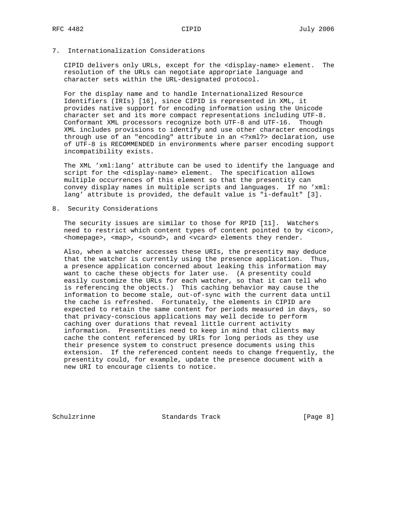7. Internationalization Considerations

 CIPID delivers only URLs, except for the <display-name> element. The resolution of the URLs can negotiate appropriate language and character sets within the URL-designated protocol.

 For the display name and to handle Internationalized Resource Identifiers (IRIs) [16], since CIPID is represented in XML, it provides native support for encoding information using the Unicode character set and its more compact representations including UTF-8. Conformant XML processors recognize both UTF-8 and UTF-16. Though XML includes provisions to identify and use other character encodings through use of an "encoding" attribute in an <?xml?> declaration, use of UTF-8 is RECOMMENDED in environments where parser encoding support incompatibility exists.

 The XML 'xml:lang' attribute can be used to identify the language and script for the <display-name> element. The specification allows multiple occurrences of this element so that the presentity can convey display names in multiple scripts and languages. If no 'xml: lang' attribute is provided, the default value is "i-default" [3].

8. Security Considerations

 The security issues are similar to those for RPID [11]. Watchers need to restrict which content types of content pointed to by <icon>, <homepage>, <map>, <sound>, and <vcard> elements they render.

 Also, when a watcher accesses these URIs, the presentity may deduce that the watcher is currently using the presence application. Thus, a presence application concerned about leaking this information may want to cache these objects for later use. (A presentity could easily customize the URLs for each watcher, so that it can tell who is referencing the objects.) This caching behavior may cause the information to become stale, out-of-sync with the current data until the cache is refreshed. Fortunately, the elements in CIPID are expected to retain the same content for periods measured in days, so that privacy-conscious applications may well decide to perform caching over durations that reveal little current activity information. Presentities need to keep in mind that clients may cache the content referenced by URIs for long periods as they use their presence system to construct presence documents using this extension. If the referenced content needs to change frequently, the presentity could, for example, update the presence document with a new URI to encourage clients to notice.

Schulzrinne **Standards Track** [Page 8]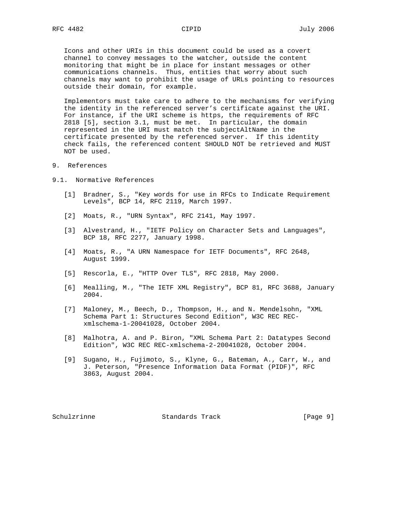Icons and other URIs in this document could be used as a covert channel to convey messages to the watcher, outside the content monitoring that might be in place for instant messages or other communications channels. Thus, entities that worry about such channels may want to prohibit the usage of URLs pointing to resources outside their domain, for example.

 Implementors must take care to adhere to the mechanisms for verifying the identity in the referenced server's certificate against the URI. For instance, if the URI scheme is https, the requirements of RFC 2818 [5], section 3.1, must be met. In particular, the domain represented in the URI must match the subjectAltName in the certificate presented by the referenced server. If this identity check fails, the referenced content SHOULD NOT be retrieved and MUST NOT be used.

- 9. References
- 9.1. Normative References
	- [1] Bradner, S., "Key words for use in RFCs to Indicate Requirement Levels", BCP 14, RFC 2119, March 1997.
	- [2] Moats, R., "URN Syntax", RFC 2141, May 1997.
	- [3] Alvestrand, H., "IETF Policy on Character Sets and Languages", BCP 18, RFC 2277, January 1998.
	- [4] Moats, R., "A URN Namespace for IETF Documents", RFC 2648, August 1999.
	- [5] Rescorla, E., "HTTP Over TLS", RFC 2818, May 2000.
	- [6] Mealling, M., "The IETF XML Registry", BCP 81, RFC 3688, January 2004.
	- [7] Maloney, M., Beech, D., Thompson, H., and N. Mendelsohn, "XML Schema Part 1: Structures Second Edition", W3C REC REC xmlschema-1-20041028, October 2004.
	- [8] Malhotra, A. and P. Biron, "XML Schema Part 2: Datatypes Second Edition", W3C REC REC-xmlschema-2-20041028, October 2004.
	- [9] Sugano, H., Fujimoto, S., Klyne, G., Bateman, A., Carr, W., and J. Peterson, "Presence Information Data Format (PIDF)", RFC 3863, August 2004.

Schulzrinne Standards Track [Page 9]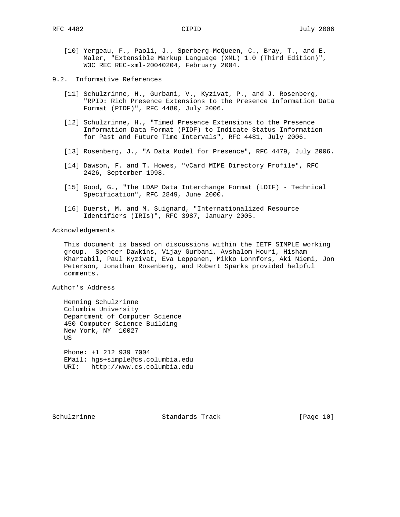- [10] Yergeau, F., Paoli, J., Sperberg-McQueen, C., Bray, T., and E. Maler, "Extensible Markup Language (XML) 1.0 (Third Edition)", W3C REC REC-xml-20040204, February 2004.
- 9.2. Informative References
	- [11] Schulzrinne, H., Gurbani, V., Kyzivat, P., and J. Rosenberg, "RPID: Rich Presence Extensions to the Presence Information Data Format (PIDF)", RFC 4480, July 2006.
	- [12] Schulzrinne, H., "Timed Presence Extensions to the Presence Information Data Format (PIDF) to Indicate Status Information for Past and Future Time Intervals", RFC 4481, July 2006.
	- [13] Rosenberg, J., "A Data Model for Presence", RFC 4479, July 2006.
	- [14] Dawson, F. and T. Howes, "vCard MIME Directory Profile", RFC 2426, September 1998.
	- [15] Good, G., "The LDAP Data Interchange Format (LDIF) Technical Specification", RFC 2849, June 2000.
	- [16] Duerst, M. and M. Suignard, "Internationalized Resource Identifiers (IRIs)", RFC 3987, January 2005.

Acknowledgements

 This document is based on discussions within the IETF SIMPLE working group. Spencer Dawkins, Vijay Gurbani, Avshalom Houri, Hisham Khartabil, Paul Kyzivat, Eva Leppanen, Mikko Lonnfors, Aki Niemi, Jon Peterson, Jonathan Rosenberg, and Robert Sparks provided helpful comments.

Author's Address

 Henning Schulzrinne Columbia University Department of Computer Science 450 Computer Science Building New York, NY 10027 US

 Phone: +1 212 939 7004 EMail: hgs+simple@cs.columbia.edu URI: http://www.cs.columbia.edu

Schulzrinne Standards Track [Page 10]